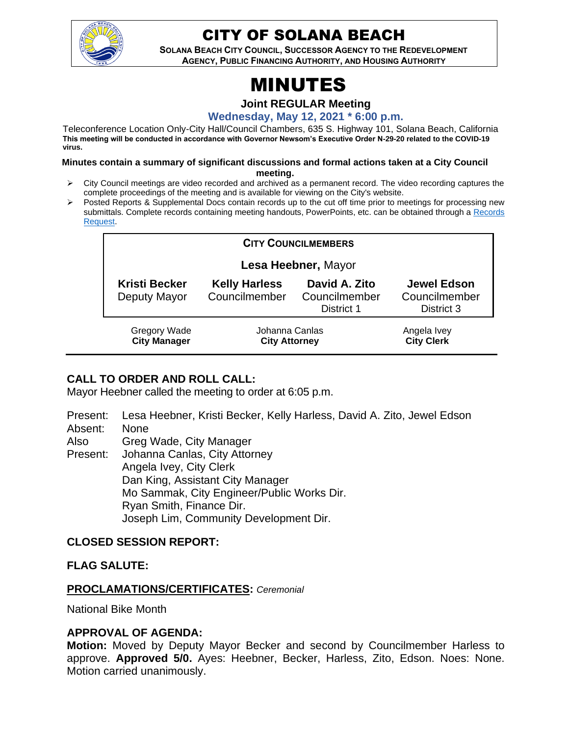

## CITY OF SOLANA BEACH

**SOLANA BEACH CITY COUNCIL, SUCCESSOR AGENCY TO THE REDEVELOPMENT AGENCY, PUBLIC FINANCING AUTHORITY, AND HOUSING AUTHORITY** 

# MINUTES

**Joint REGULAR Meeting**

**Wednesday, May 12, 2021 \* 6:00 p.m.**

Teleconference Location Only-City Hall/Council Chambers, 635 S. Highway 101, Solana Beach, California **This meeting will be conducted in accordance with Governor Newsom's Executive Order N-29-20 related to the COVID-19 virus.**

#### **Minutes contain a summary of significant discussions and formal actions taken at a City Council meeting.**

- ➢ City Council meetings are video recorded and archived as a permanent record. The video recording captures the complete proceedings of the meeting and is available for viewing on the City's website.
- ➢ Posted Reports & Supplemental Docs contain records up to the cut off time prior to meetings for processing new submittals. Complete records containing meeting handouts, PowerPoints, etc. can be obtained through a Records [Request.](http://www.ci.solana-beach.ca.us/index.asp?SEC=F5D45D10-70CE-4291-A27C-7BD633FC6742&Type=B_BASIC)

| <b>CITY COUNCILMEMBERS</b>                 |                                        |                                              |                                                   |
|--------------------------------------------|----------------------------------------|----------------------------------------------|---------------------------------------------------|
| Lesa Heebner, Mayor                        |                                        |                                              |                                                   |
| <b>Kristi Becker</b><br>Deputy Mayor       | <b>Kelly Harless</b><br>Councilmember  | David A. Zito<br>Councilmember<br>District 1 | <b>Jewel Edson</b><br>Councilmember<br>District 3 |
| <b>Gregory Wade</b><br><b>City Manager</b> | Johanna Canlas<br><b>City Attorney</b> |                                              | Angela Ivey<br><b>City Clerk</b>                  |

#### **CALL TO ORDER AND ROLL CALL:**

Mayor Heebner called the meeting to order at 6:05 p.m.

Present: Lesa Heebner, Kristi Becker, Kelly Harless, David A. Zito, Jewel Edson Absent: None

Also Greg Wade, City Manager

Present: Johanna Canlas, City Attorney Angela Ivey, City Clerk Dan King, Assistant City Manager Mo Sammak, City Engineer/Public Works Dir. Ryan Smith, Finance Dir. Joseph Lim, Community Development Dir.

#### **CLOSED SESSION REPORT:**

#### **FLAG SALUTE:**

#### **PROCLAMATIONS/CERTIFICATES:** *Ceremonial*

National Bike Month

#### **APPROVAL OF AGENDA:**

**Motion:** Moved by Deputy Mayor Becker and second by Councilmember Harless to approve. **Approved 5/0.** Ayes: Heebner, Becker, Harless, Zito, Edson. Noes: None. Motion carried unanimously.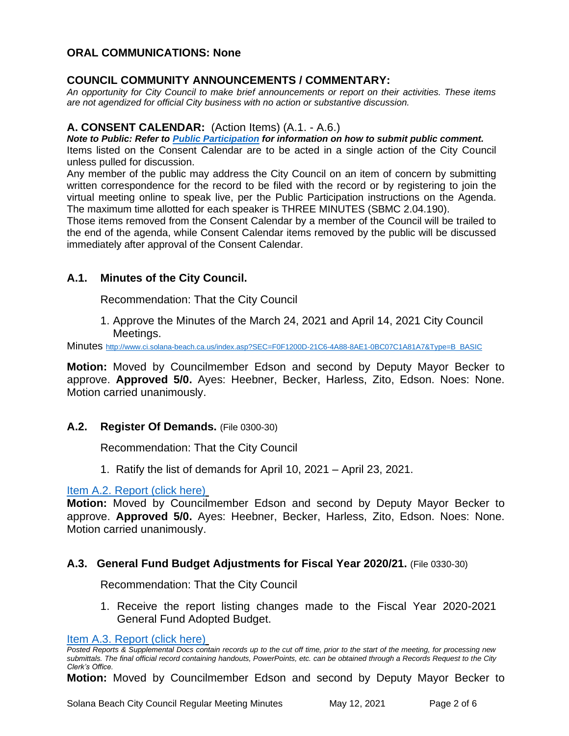#### **ORAL COMMUNICATIONS: None**

#### **COUNCIL COMMUNITY ANNOUNCEMENTS / COMMENTARY:**

*An opportunity for City Council to make brief announcements or report on their activities. These items are not agendized for official City business with no action or substantive discussion.* 

#### **A. CONSENT CALENDAR:** (Action Items) (A.1. - A.6.)

*Note to Public: Refer to Public Participation for information on how to submit public comment.* 

Items listed on the Consent Calendar are to be acted in a single action of the City Council unless pulled for discussion.

Any member of the public may address the City Council on an item of concern by submitting written correspondence for the record to be filed with the record or by registering to join the virtual meeting online to speak live, per the Public Participation instructions on the Agenda. The maximum time allotted for each speaker is THREE MINUTES (SBMC 2.04.190).

Those items removed from the Consent Calendar by a member of the Council will be trailed to the end of the agenda, while Consent Calendar items removed by the public will be discussed immediately after approval of the Consent Calendar.

#### **A.1. Minutes of the City Council.**

Recommendation: That the City Council

1. Approve the Minutes of the March 24, 2021 and April 14, 2021 City Council Meetings.

Minutes [http://www.ci.solana-beach.ca.us/index.asp?SEC=F0F1200D-21C6-4A88-8AE1-0BC07C1A81A7&Type=B\\_BASIC](http://www.ci.solana-beach.ca.us/index.asp?SEC=F0F1200D-21C6-4A88-8AE1-0BC07C1A81A7&Type=B_BASIC)

**Motion:** Moved by Councilmember Edson and second by Deputy Mayor Becker to approve. **Approved 5/0.** Ayes: Heebner, Becker, Harless, Zito, Edson. Noes: None. Motion carried unanimously.

**A.2. Register Of Demands.** (File 0300-30)

Recommendation: That the City Council

1. Ratify the list of demands for April 10, 2021 – April 23, 2021.

#### [Item A.2. Report \(click here\)](https://solanabeach.govoffice3.com/vertical/Sites/%7B840804C2-F869-4904-9AE3-720581350CE7%7D/uploads/Item_A.2._Report_(click_here)_-_5-12-21_O.pdf)

**Motion:** Moved by Councilmember Edson and second by Deputy Mayor Becker to approve. **Approved 5/0.** Ayes: Heebner, Becker, Harless, Zito, Edson. Noes: None. Motion carried unanimously.

#### **A.3. General Fund Budget Adjustments for Fiscal Year 2020/21.** (File 0330-30)

Recommendation: That the City Council

1. Receive the report listing changes made to the Fiscal Year 2020-2021 General Fund Adopted Budget.

```
Item A.3. Report (click here)
```
*Posted Reports & Supplemental Docs contain records up to the cut off time, prior to the start of the meeting, for processing new submittals. The final official record containing handouts, PowerPoints, etc. can be obtained through a Records Request to the City Clerk's Office.*

**Motion:** Moved by Councilmember Edson and second by Deputy Mayor Becker to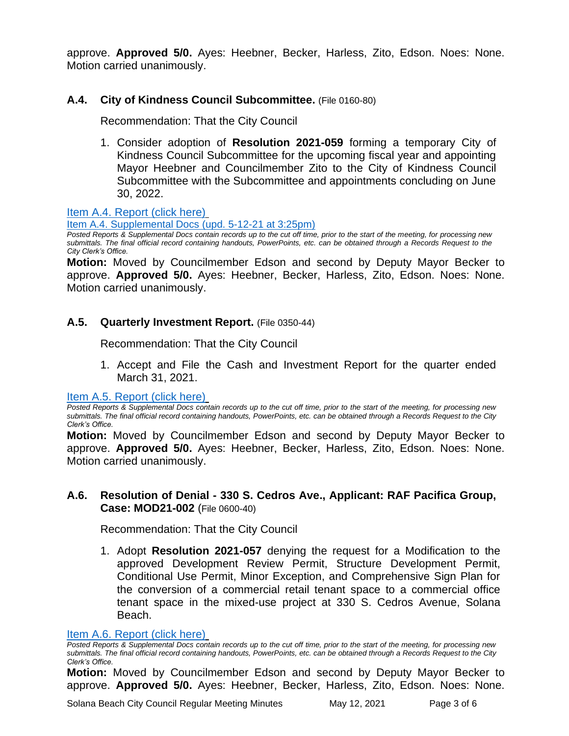approve. **Approved 5/0.** Ayes: Heebner, Becker, Harless, Zito, Edson. Noes: None. Motion carried unanimously.

#### **A.4. City of Kindness Council Subcommittee.** (File 0160-80)

Recommendation: That the City Council

1. Consider adoption of **Resolution 2021-059** forming a temporary City of Kindness Council Subcommittee for the upcoming fiscal year and appointing Mayor Heebner and Councilmember Zito to the City of Kindness Council Subcommittee with the Subcommittee and appointments concluding on June 30, 2022.

[Item A.4. Report \(click here\)](https://solanabeach.govoffice3.com/vertical/Sites/%7B840804C2-F869-4904-9AE3-720581350CE7%7D/uploads/Item_A.4._Report_(click_here)_-_5-12-21_O.pdf)

[Item A.4. Supplemental Docs \(upd. 5-12-21 at 3:25pm\)](https://solanabeach.govoffice3.com/vertical/Sites/%7B840804C2-F869-4904-9AE3-720581350CE7%7D/uploads/Item_A.4._Supplemental_Docs_(upd._5-12-21_at_325pm)_-_O.pdf)

*Posted Reports & Supplemental Docs contain records up to the cut off time, prior to the start of the meeting, for processing new submittals. The final official record containing handouts, PowerPoints, etc. can be obtained through a Records Request to the City Clerk's Office.*

**Motion:** Moved by Councilmember Edson and second by Deputy Mayor Becker to approve. **Approved 5/0.** Ayes: Heebner, Becker, Harless, Zito, Edson. Noes: None. Motion carried unanimously.

#### **A.5. Quarterly Investment Report.** (File 0350-44)

Recommendation: That the City Council

1. Accept and File the Cash and Investment Report for the quarter ended March 31, 2021.

[Item A.5. Report \(click here\)](https://solanabeach.govoffice3.com/vertical/Sites/%7B840804C2-F869-4904-9AE3-720581350CE7%7D/uploads/Item_A.5._Report_(click_here)_-_5-12-21_O.pdf)

*Posted Reports & Supplemental Docs contain records up to the cut off time, prior to the start of the meeting, for processing new submittals. The final official record containing handouts, PowerPoints, etc. can be obtained through a Records Request to the City Clerk's Office.*

**Motion:** Moved by Councilmember Edson and second by Deputy Mayor Becker to approve. **Approved 5/0.** Ayes: Heebner, Becker, Harless, Zito, Edson. Noes: None. Motion carried unanimously.

#### **A.6. Resolution of Denial - 330 S. Cedros Ave., Applicant: RAF Pacifica Group, Case: MOD21-002** (File 0600-40)

Recommendation: That the City Council

1. Adopt **Resolution 2021-057** denying the request for a Modification to the approved Development Review Permit, Structure Development Permit, Conditional Use Permit, Minor Exception, and Comprehensive Sign Plan for the conversion of a commercial retail tenant space to a commercial office tenant space in the mixed-use project at 330 S. Cedros Avenue, Solana Beach.

#### [Item A.6. Report \(click here\)](https://solanabeach.govoffice3.com/vertical/Sites/%7B840804C2-F869-4904-9AE3-720581350CE7%7D/uploads/Item_A.6._Report_(click_here)_-_5-12-21_O.pdf)

*Posted Reports & Supplemental Docs contain records up to the cut off time, prior to the start of the meeting, for processing new submittals. The final official record containing handouts, PowerPoints, etc. can be obtained through a Records Request to the City Clerk's Office.*

**Motion:** Moved by Councilmember Edson and second by Deputy Mayor Becker to approve. **Approved 5/0.** Ayes: Heebner, Becker, Harless, Zito, Edson. Noes: None.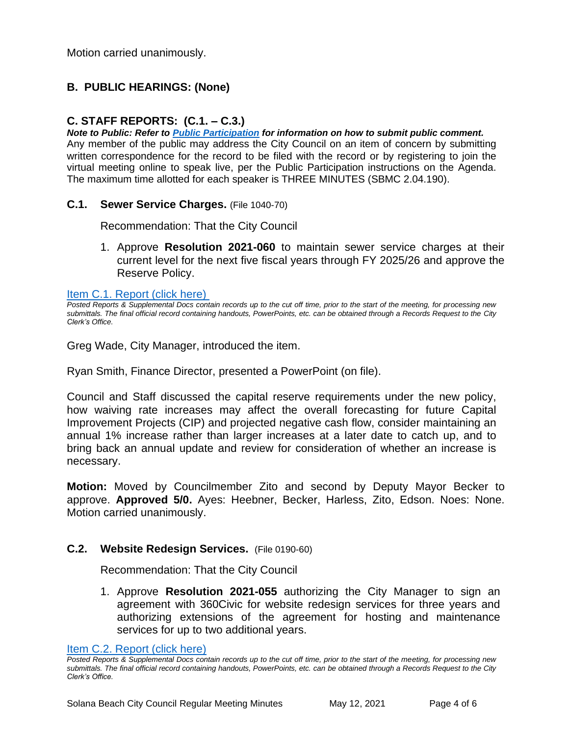Motion carried unanimously.

#### **B. PUBLIC HEARINGS: (None)**

#### **C. STAFF REPORTS: (C.1. – C.3.)**

*Note to Public: Refer to Public Participation for information on how to submit public comment.*  Any member of the public may address the City Council on an item of concern by submitting written correspondence for the record to be filed with the record or by registering to join the virtual meeting online to speak live, per the Public Participation instructions on the Agenda. The maximum time allotted for each speaker is THREE MINUTES (SBMC 2.04.190).

**C.1. Sewer Service Charges.** (File 1040-70)

Recommendation: That the City Council

1. Approve **Resolution 2021-060** to maintain sewer service charges at their current level for the next five fiscal years through FY 2025/26 and approve the Reserve Policy.

[Item C.1. Report \(click here\)](https://solanabeach.govoffice3.com/vertical/Sites/%7B840804C2-F869-4904-9AE3-720581350CE7%7D/uploads/Item_C.1._Report_(click_here)_-_5-12-21_O.pdf) 

Greg Wade, City Manager, introduced the item.

Ryan Smith, Finance Director, presented a PowerPoint (on file).

Council and Staff discussed the capital reserve requirements under the new policy, how waiving rate increases may affect the overall forecasting for future Capital Improvement Projects (CIP) and projected negative cash flow, consider maintaining an annual 1% increase rather than larger increases at a later date to catch up, and to bring back an annual update and review for consideration of whether an increase is necessary.

**Motion:** Moved by Councilmember Zito and second by Deputy Mayor Becker to approve. **Approved 5/0.** Ayes: Heebner, Becker, Harless, Zito, Edson. Noes: None. Motion carried unanimously.

#### **C.2. Website Redesign Services.** (File 0190-60)

Recommendation: That the City Council

1. Approve **Resolution 2021-055** authorizing the City Manager to sign an agreement with 360Civic for website redesign services for three years and authorizing extensions of the agreement for hosting and maintenance services for up to two additional years.

[Item C.2. Report \(click here\)](https://solanabeach.govoffice3.com/vertical/Sites/%7B840804C2-F869-4904-9AE3-720581350CE7%7D/uploads/Item_C.2._Report_(click_here)_-_5-12-21_O.pdf)

*Posted Reports & Supplemental Docs contain records up to the cut off time, prior to the start of the meeting, for processing new submittals. The final official record containing handouts, PowerPoints, etc. can be obtained through a Records Request to the City Clerk's Office.*

Posted Reports & Supplemental Docs contain records up to the cut off time, prior to the start of the meeting, for processing new *submittals. The final official record containing handouts, PowerPoints, etc. can be obtained through a Records Request to the City Clerk's Office.*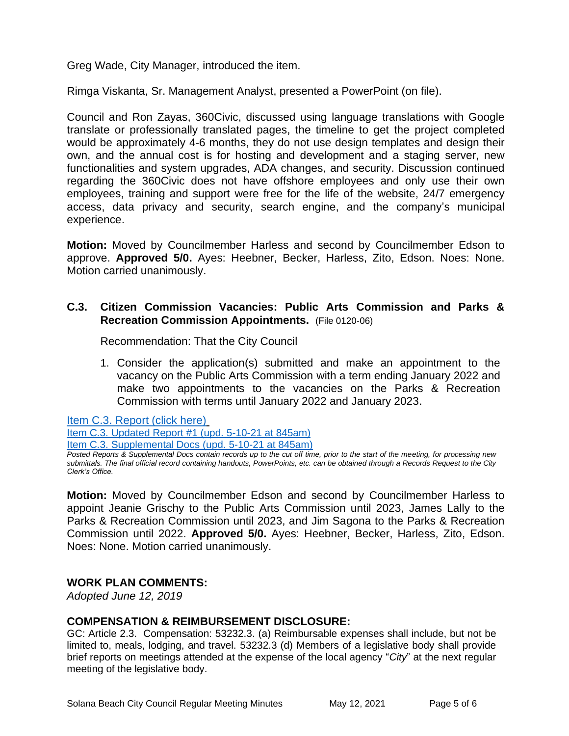Greg Wade, City Manager, introduced the item.

Rimga Viskanta, Sr. Management Analyst, presented a PowerPoint (on file).

Council and Ron Zayas, 360Civic, discussed using language translations with Google translate or professionally translated pages, the timeline to get the project completed would be approximately 4-6 months, they do not use design templates and design their own, and the annual cost is for hosting and development and a staging server, new functionalities and system upgrades, ADA changes, and security. Discussion continued regarding the 360Civic does not have offshore employees and only use their own employees, training and support were free for the life of the website, 24/7 emergency access, data privacy and security, search engine, and the company's municipal experience.

**Motion:** Moved by Councilmember Harless and second by Councilmember Edson to approve. **Approved 5/0.** Ayes: Heebner, Becker, Harless, Zito, Edson. Noes: None. Motion carried unanimously.

#### **C.3. Citizen Commission Vacancies: Public Arts Commission and Parks & Recreation Commission Appointments.** (File 0120-06)

Recommendation: That the City Council

1. Consider the application(s) submitted and make an appointment to the vacancy on the Public Arts Commission with a term ending January 2022 and make two appointments to the vacancies on the Parks & Recreation Commission with terms until January 2022 and January 2023.

[Item C.3. Report \(click here\)](https://solanabeach.govoffice3.com/vertical/Sites/%7B840804C2-F869-4904-9AE3-720581350CE7%7D/uploads/Item_C.3._Report_(click_here)_-_5-12-21_O.pdf)

[Item C.3. Updated Report #1 \(upd. 5-10-21 at 845am\)](https://solanabeach.govoffice3.com/vertical/Sites/%7B840804C2-F869-4904-9AE3-720581350CE7%7D/uploads/Item_C.3._Updated_Report_1_-_O.pdf)

[Item C.3. Supplemental Docs \(upd. 5-10-21 at 845am\)](https://solanabeach.govoffice3.com/vertical/Sites/%7B840804C2-F869-4904-9AE3-720581350CE7%7D/uploads/Item_C.3._Supplemental_Docs_(5-9-21)_-_O.pdf)

*Posted Reports & Supplemental Docs contain records up to the cut off time, prior to the start of the meeting, for processing new submittals. The final official record containing handouts, PowerPoints, etc. can be obtained through a Records Request to the City Clerk's Office.*

**Motion:** Moved by Councilmember Edson and second by Councilmember Harless to appoint Jeanie Grischy to the Public Arts Commission until 2023, James Lally to the Parks & Recreation Commission until 2023, and Jim Sagona to the Parks & Recreation Commission until 2022. **Approved 5/0.** Ayes: Heebner, Becker, Harless, Zito, Edson. Noes: None. Motion carried unanimously.

#### **WORK PLAN COMMENTS:**

*Adopted June 12, 2019*

#### **COMPENSATION & REIMBURSEMENT DISCLOSURE:**

GC: Article 2.3. Compensation: 53232.3. (a) Reimbursable expenses shall include, but not be limited to, meals, lodging, and travel. 53232.3 (d) Members of a legislative body shall provide brief reports on meetings attended at the expense of the local agency "*City*" at the next regular meeting of the legislative body.